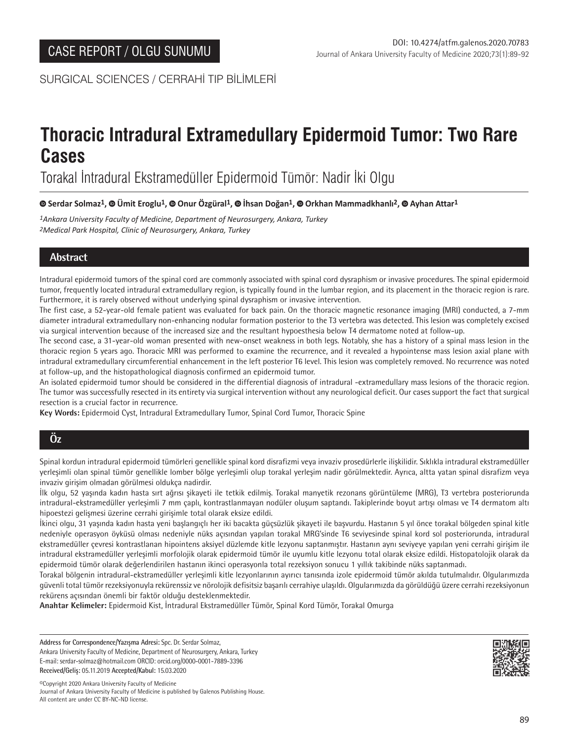SURGICAL SCIENCES / CERRAHİ TIP BİLİMLERİ

# **Thoracic Intradural Extramedullary Epidermoid Tumor: Two Rare Cases**

Torakal İntradural Ekstramedüller Epidermoid Tümör: Nadir İki Olgu

# **Serdar Solmaz1,Ümit Eroglu1,Onur Özgüral1,İhsan Doğan1,Orkhan Mammadkhanlı2,Ayhan Attar1**

*1Ankara University Faculty of Medicine, Department of Neurosurgery, Ankara, Turkey 2Medical Park Hospital, Clinic of Neurosurgery, Ankara, Turkey*

# **Abstract**

Intradural epidermoid tumors of the spinal cord are commonly associated with spinal cord dysraphism or invasive procedures. The spinal epidermoid tumor, frequently located intradural extramedullary region, is typically found in the lumbar region, and its placement in the thoracic region is rare. Furthermore, it is rarely observed without underlying spinal dysraphism or invasive intervention.

The first case, a 52-year-old female patient was evaluated for back pain. On the thoracic magnetic resonance imaging (MRI) conducted, a 7-mm diameter intradural extramedullary non-enhancing nodular formation posterior to the T3 vertebra was detected. This lesion was completely excised via surgical intervention because of the increased size and the resultant hypoesthesia below T4 dermatome noted at follow-up.

The second case, a 31-year-old woman presented with new-onset weakness in both legs. Notably, she has a history of a spinal mass lesion in the thoracic region 5 years ago. Thoracic MRI was performed to examine the recurrence, and it revealed a hypointense mass lesion axial plane with intradural extramedullary circumferential enhancement in the left posterior T6 level. This lesion was completely removed. No recurrence was noted at follow-up, and the histopathological diagnosis confirmed an epidermoid tumor.

An isolated epidermoid tumor should be considered in the differential diagnosis of intradural -extramedullary mass lesions of the thoracic region. The tumor was successfully resected in its entirety via surgical intervention without any neurological deficit. Our cases support the fact that surgical resection is a crucial factor in recurrence.

**Key Words:** Epidermoid Cyst, Intradural Extramedullary Tumor, Spinal Cord Tumor, Thoracic Spine

# **Öz**

Spinal kordun intradural epidermoid tümörleri genellikle spinal kord disrafizmi veya invaziv prosedürlerle ilişkilidir. Sıklıkla intradural ekstramedüller yerleşimli olan spinal tümör genellikle lomber bölge yerleşimli olup torakal yerleşim nadir görülmektedir. Ayrıca, altta yatan spinal disrafizm veya invaziv girişim olmadan görülmesi oldukça nadirdir.

İlk olgu, 52 yaşında kadın hasta sırt ağrısı şikayeti ile tetkik edilmiş. Torakal manyetik rezonans görüntüleme (MRG), T3 vertebra posteriorunda intradural-ekstramedüller yerleşimli 7 mm çaplı, kontrastlanmayan nodüler oluşum saptandı. Takiplerinde boyut artışı olması ve T4 dermatom altı hipoestezi gelişmesi üzerine cerrahi girişimle total olarak eksize edildi.

İkinci olgu, 31 yaşında kadın hasta yeni başlangıçlı her iki bacakta güçsüzlük şikayeti ile başvurdu. Hastanın 5 yıl önce torakal bölgeden spinal kitle nedeniyle operasyon öyküsü olması nedeniyle nüks açısından yapılan torakal MRG'sinde T6 seviyesinde spinal kord sol posteriorunda, intradural ekstramedüller çevresi kontrastlanan hipointens aksiyel düzlemde kitle lezyonu saptanmıştır. Hastanın aynı seviyeye yapılan yeni cerrahi girişim ile intradural ekstramedüller yerleşimli morfolojik olarak epidermoid tümör ile uyumlu kitle lezyonu total olarak eksize edildi. Histopatolojik olarak da epidermoid tümör olarak değerlendirilen hastanın ikinci operasyonla total rezeksiyon sonucu 1 yıllık takibinde nüks saptanmadı.

Torakal bölgenin intradural-ekstramedüller yerleşimli kitle lezyonlarının ayırıcı tanısında izole epidermoid tümör akılda tutulmalıdır. Olgularımızda güvenli total tümör rezeksiyonuyla rekürenssiz ve nörolojik defisitsiz başarılı cerrahiye ulaşıldı. Olgularımızda da görüldüğü üzere cerrahi rezeksiyonun rekürens açısından önemli bir faktör olduğu desteklenmektedir.

**Anahtar Kelimeler:** Epidermoid Kist, İntradural Ekstramedüller Tümör, Spinal Kord Tümör, Torakal Omurga

**Address for Correspondence/Yazışma Adresi:** Spc. Dr. Serdar Solmaz, Ankara University Faculty of Medicine, Department of Neurosurgery, Ankara, Turkey E-mail: serdar-solmaz@hotmail.com ORCID: orcid.org/0000-0001-7889-3396

**Received/Geliş:** 05.11.2019 **Accepted/Kabul:** 15.03.2020



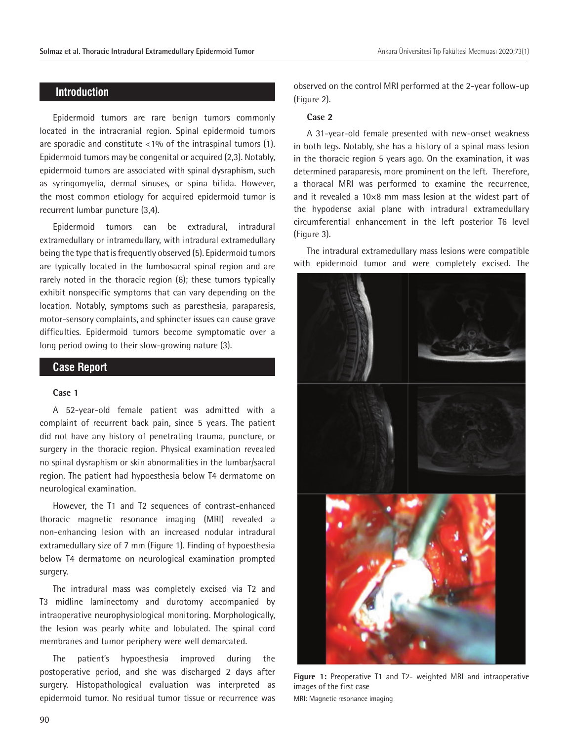# **Introduction**

Epidermoid tumors are rare benign tumors commonly located in the intracranial region. Spinal epidermoid tumors are sporadic and constitute <1% of the intraspinal tumors (1). Epidermoid tumors may be congenital or acquired (2,3). Notably, epidermoid tumors are associated with spinal dysraphism, such as syringomyelia, dermal sinuses, or spina bifida. However, the most common etiology for acquired epidermoid tumor is recurrent lumbar puncture (3,4).

Epidermoid tumors can be extradural, intradural extramedullary or intramedullary, with intradural extramedullary being the type that is frequently observed (5). Epidermoid tumors are typically located in the lumbosacral spinal region and are rarely noted in the thoracic region (6); these tumors typically exhibit nonspecific symptoms that can vary depending on the location. Notably, symptoms such as paresthesia, paraparesis, motor-sensory complaints, and sphincter issues can cause grave difficulties. Epidermoid tumors become symptomatic over a long period owing to their slow-growing nature (3).

## **Case Report**

#### **Case 1**

A 52-year-old female patient was admitted with a complaint of recurrent back pain, since 5 years. The patient did not have any history of penetrating trauma, puncture, or surgery in the thoracic region. Physical examination revealed no spinal dysraphism or skin abnormalities in the lumbar/sacral region. The patient had hypoesthesia below T4 dermatome on neurological examination.

However, the T1 and T2 sequences of contrast-enhanced thoracic magnetic resonance imaging (MRI) revealed a non-enhancing lesion with an increased nodular intradural extramedullary size of 7 mm (Figure 1). Finding of hypoesthesia below T4 dermatome on neurological examination prompted surgery.

The intradural mass was completely excised via T2 and T3 midline laminectomy and durotomy accompanied by intraoperative neurophysiological monitoring. Morphologically, the lesion was pearly white and lobulated. The spinal cord membranes and tumor periphery were well demarcated.

The patient's hypoesthesia improved during the postoperative period, and she was discharged 2 days after surgery. Histopathological evaluation was interpreted as epidermoid tumor. No residual tumor tissue or recurrence was observed on the control MRI performed at the 2-year follow-up (Figure 2).

#### **Case 2**

A 31-year-old female presented with new-onset weakness in both legs. Notably, she has a history of a spinal mass lesion in the thoracic region 5 years ago. On the examination, it was determined paraparesis, more prominent on the left. Therefore, a thoracal MRI was performed to examine the recurrence, and it revealed a 10×8 mm mass lesion at the widest part of the hypodense axial plane with intradural extramedullary circumferential enhancement in the left posterior T6 level (Figure 3).

The intradural extramedullary mass lesions were compatible with epidermoid tumor and were completely excised. The



**Figure 1:** Preoperative T1 and T2- weighted MRI and intraoperative images of the first case MRI: Magnetic resonance imaging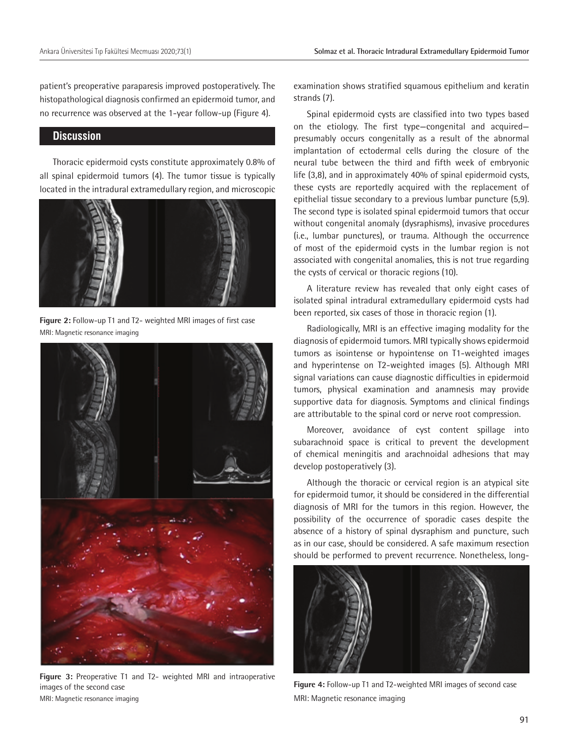patient's preoperative paraparesis improved postoperatively. The histopathological diagnosis confirmed an epidermoid tumor, and no recurrence was observed at the 1-year follow-up (Figure 4).

## **Discussion**

Thoracic epidermoid cysts constitute approximately 0.8% of all spinal epidermoid tumors (4). The tumor tissue is typically located in the intradural extramedullary region, and microscopic



**Figure 2:** Follow-up T1 and T2- weighted MRI images of first case MRI: Magnetic resonance imaging



**Figure 3:** Preoperative T1 and T2- weighted MRI and intraoperative images of the second case MRI: Magnetic resonance imaging

examination shows stratified squamous epithelium and keratin strands (7).

Spinal epidermoid cysts are classified into two types based on the etiology. The first type—congenital and acquired presumably occurs congenitally as a result of the abnormal implantation of ectodermal cells during the closure of the neural tube between the third and fifth week of embryonic life (3,8), and in approximately 40% of spinal epidermoid cysts, these cysts are reportedly acquired with the replacement of epithelial tissue secondary to a previous lumbar puncture (5,9). The second type is isolated spinal epidermoid tumors that occur without congenital anomaly (dysraphisms), invasive procedures (i.e., lumbar punctures), or trauma. Although the occurrence of most of the epidermoid cysts in the lumbar region is not associated with congenital anomalies, this is not true regarding the cysts of cervical or thoracic regions (10).

A literature review has revealed that only eight cases of isolated spinal intradural extramedullary epidermoid cysts had been reported, six cases of those in thoracic region (1).

Radiologically, MRI is an effective imaging modality for the diagnosis of epidermoid tumors. MRI typically shows epidermoid tumors as isointense or hypointense on T1-weighted images and hyperintense on T2-weighted images (5). Although MRI signal variations can cause diagnostic difficulties in epidermoid tumors, physical examination and anamnesis may provide supportive data for diagnosis. Symptoms and clinical findings are attributable to the spinal cord or nerve root compression.

Moreover, avoidance of cyst content spillage into subarachnoid space is critical to prevent the development of chemical meningitis and arachnoidal adhesions that may develop postoperatively (3).

Although the thoracic or cervical region is an atypical site for epidermoid tumor, it should be considered in the differential diagnosis of MRI for the tumors in this region. However, the possibility of the occurrence of sporadic cases despite the absence of a history of spinal dysraphism and puncture, such as in our case, should be considered. A safe maximum resection should be performed to prevent recurrence. Nonetheless, long-



**Figure 4:** Follow-up T1 and T2-weighted MRI images of second case MRI: Magnetic resonance imaging